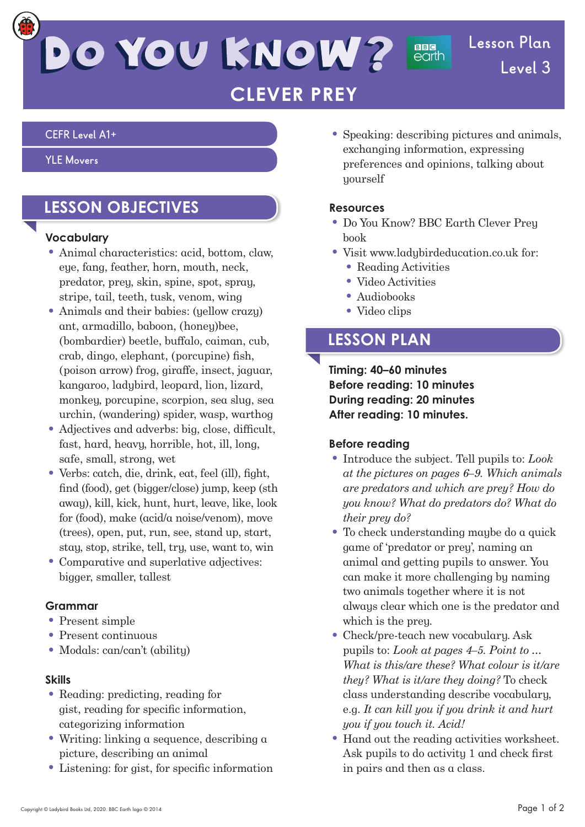# DO YOU KNOW?

## **Lesson Plan Level 3**

## **CLEVER PREY**

#### **CEFR Level A1+**

#### **YLE Movers**

## **LESSON OBJECTIVES**

#### **Vocabulary**

- Animal characteristics: acid, bottom, claw, eye, fang, feather, horn, mouth, neck, predator, prey, skin, spine, spot, spray, stripe, tail, teeth, tusk, venom, wing
- Animals and their babies: (yellow crazy) ant, armadillo, baboon, (honey)bee, (bombardier) beetle, buffalo, caiman, cub, crab, dingo, elephant, (porcupine) fish, (poison arrow) frog, giraffe, insect, jaguar, kangaroo, ladybird, leopard, lion, lizard, monkey, porcupine, scorpion, sea slug, sea urchin, (wandering) spider, wasp, warthog
- $\bullet$  Adjectives and adverbs: big, close, difficult, fast, hard, heavy, horrible, hot, ill, long, safe, small, strong, wet
- $\bullet$  Verbs: catch, die, drink, eat, feel (ill), fight, find (food), get (bigger/close) jump, keep (sth away), kill, kick, hunt, hurt, leave, like, look for (food), make (acid/a noise/venom), move (trees), open, put, run, see, stand up, start, stay, stop, strike, tell, try, use, want to, win
- Comparative and superlative adjectives: bigger, smaller, tallest

#### **Grammar**

- Present simple
- Present continuous
- Modals: can/can't (abilitu)

#### **Skills**

- Reading: predicting, reading for gist, reading for specific information, categorizing information
- Writing: linking a sequence, describing a picture, describing an animal
- $\bullet$  Listening: for gist, for specific information

• Speaking: describing pictures and animals, exchanging information, expressing preferences and opinions, talking about yourself

**BBG**<br>earth

#### **Resources**

- Do You Know? BBC Earth Clever Prey book
- Visit www.ladybirdeducation.co.uk for:
	- Reading Activities
	- Video Activities
	- Audiobooks
	- Video clips

## **LESSON PLAN**

**Timing: 40–60 minutes Before reading: 10 minutes During reading: 20 minutes After reading: 10 minutes.**

### **Before reading**

- Introduce the subject. Tell pupils to: *Look at the pictures on pages 6–9. Which animals are predators and which are prey? How do you know? What do predators do? What do their prey do?*
- To check understanding maybe do a quick game of 'predator or prey', naming an animal and getting pupils to answer. You can make it more challenging by naming two animals together where it is not always clear which one is the predator and which is the preu.
- Check/pre-teach new vocabulary. Ask pupils to: *Look at pages 4–5. Point to … What is this/are these? What colour is it/are they? What is it/are they doing?* To check class understanding describe vocabulary, e.g. *It can kill you if you drink it and hurt you if you touch it. Acid!*
- Hand out the reading activities worksheet. Ask pupils to do activity 1 and check first in pairs and then as a class.